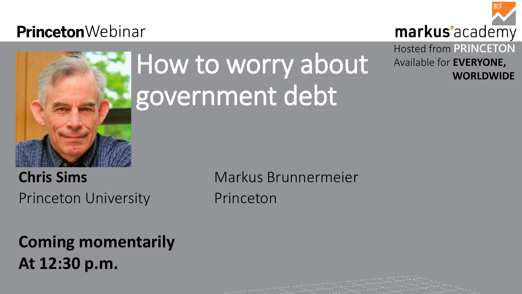## **Princeton**Webinar



# How to worry about government debt

Princeton University **Princeton** 

## markus'academy Hosted from **PRINCETON** Available for **EVERYONE, WORLDWIDE**

**Coming momentarily At 12:30 p.m.** 

**Chris Sims** Markus Brunnermeier

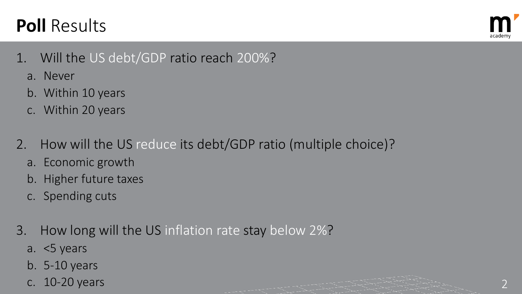- 1. Will the US debt/GDP ratio reach 200%?
	- a. Never
	- b. Within 10 years
	- c. Within 20 years
- 2. How will the US reduce its debt/GDP ratio (multiple choice)?
	- a. Economic growth
	- b. Higher future taxes
	- c. Spending cuts
- 3. How long will the US inflation rate stay below 2%?
	- a. <5 years
	- b. 5-10 years
	-



c.  $10-20$  years  $2$ 



## **Poll** Results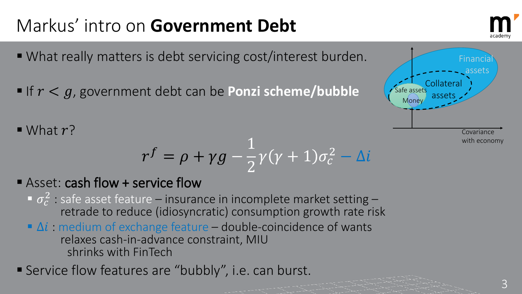- What really matters is debt servicing cost/interest burden.
- If  $r < g$ , government debt can be **Ponzi scheme/bubble**
- $\blacksquare$  What  $r$ ?

- Asset: cash flow + service flow
	- $\sigma_c^2$  : safe asset feature insurance in incomplete market setting –<br>retrade to reduce (idiosyncratic) consumption growth rate risk
	- $\blacksquare$   $\Delta i$  : medium of exchange feature double-coincidence of wants relaxes cash-in-advance constraint, MIU shrinks with FinTech
- Service flow features are "bubbly", i.e. can burst.



$$
r^f = \rho + \gamma g - \frac{1}{2}\gamma(\gamma + 1)\sigma_c^2 - \Delta i
$$

## Markus' intro on **Government Debt**







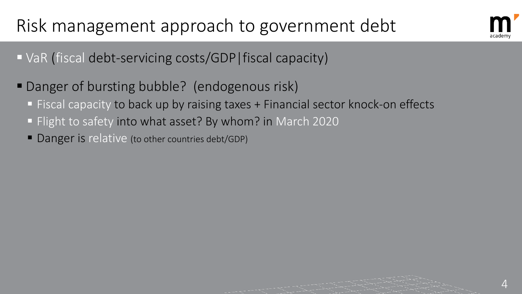4

## Risk management approach to government debt

- VaR (fiscal debt-servicing costs/GDP | fiscal capacity)
- Danger of bursting bubble? (endogenous risk) **Fiscal capacity to back up by raising taxes + Financial sector knock-on effects Flight to safety into what asset? By whom? in March 2020** 
	- Danger is relative (to other countries debt/GDP)



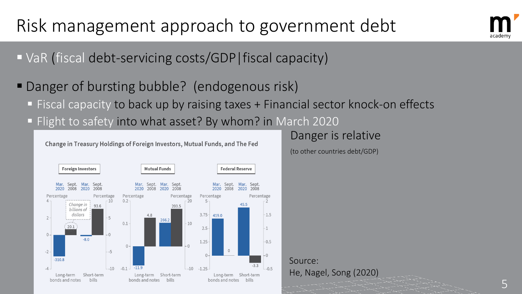Danger is relative

(to other countries debt/GDP)





5



## Risk management approach to government debt

- VaR (fiscal debt-servicing costs/GDP | fiscal capacity)
- **Danger of bursting bubble? (endogenous risk) Fiscal capacity to back up by raising taxes + Financial sector knock-on effects Fight to safety into what asset? By whom? in March 2020**

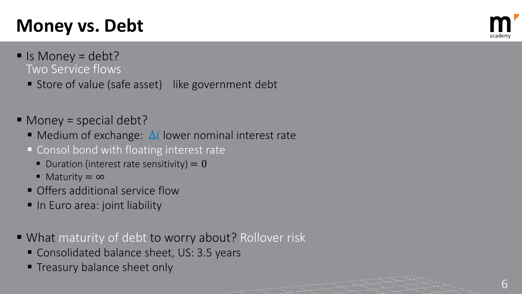6

## **Money vs. Debt**

- $\blacksquare$  Is Money = debt? Two Service flows
	- Store of value (safe asset) like government debt
- Money = special debt?
	- $\blacksquare$  Medium of exchange:  $\Delta i$  lower nominal interest rate
	- Consol bond with floating interest rate
		- $\blacksquare$  Duration (interest rate sensitivity) = 0
		- Maturity = ∞
	- **Offers additional service flow**
	- In Euro area: joint liability
- What maturity of debt to worry about? Rollover risk
	- Consolidated balance sheet, US: 3.5 years
	- **Treasury balance sheet only**

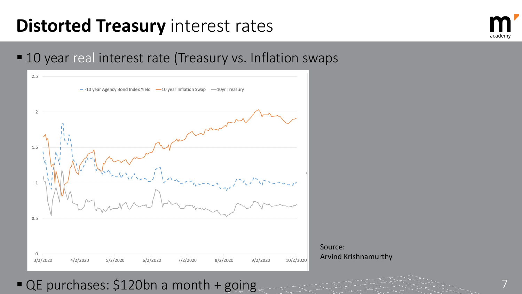## **Distorted Treasury** interest rates

## ■ 10 year real interest rate (Treasury vs. Inflation swaps



## ■ QE purchases: \$120bn a month + going





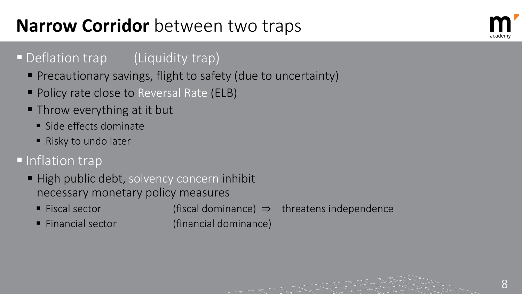- **High public debt, solvency concern inhibit** necessary monetary policy measures
	- Fiscal sector (fiscal dominance) ⇒ threatens independence
	-

■ Financial sector (financial dominance)







## **Narrow Corridor** between two traps

## • Deflation trap (Liquidity trap)

- **Precautionary savings, flight to safety (due to uncertainty)**
- **Policy rate close to Reversal Rate (ELB)**
- **Throw everything at it but** 
	- **Side effects dominate**
	- Risky to undo later

## **Inflation trap**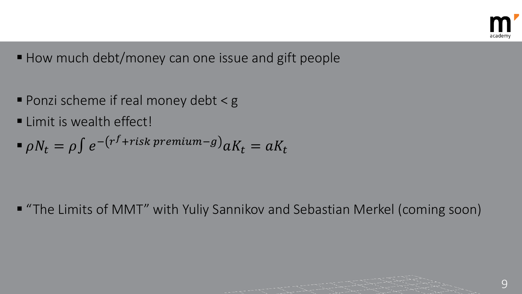- How much debt/money can one issue and gift people
- Ponzi scheme if real money debt  $\leq$  g
- **Elimit is wealth effect!**
- $\int \rho N_t = \rho \int e^{-(r^f + risk\ premium g)} aK_t = aK_t$

■ "The Limits of MMT" with Yuliy Sannikov and Sebastian Merkel (coming soon)



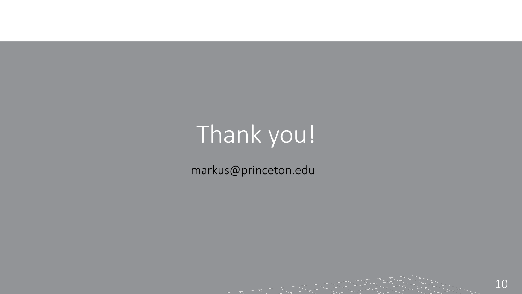# Thank you!

markus@princeton.edu



### 10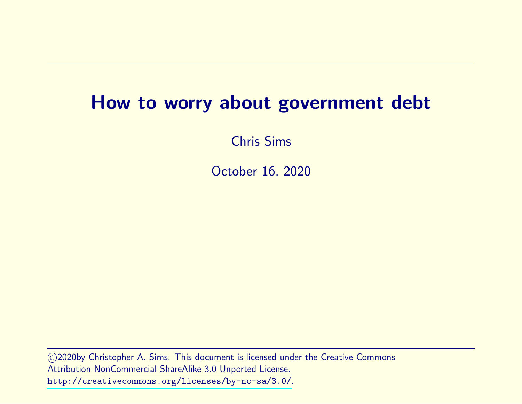### How to worry about government debt

Chris Sims

October 16, 2020

©2020by Christopher A. Sims. This document is licensed under the Creative Commons Attribution-NonCommercial-ShareAlike 3.0 Unported License. <http://creativecommons.org/licenses/by-nc-sa/3.0/>.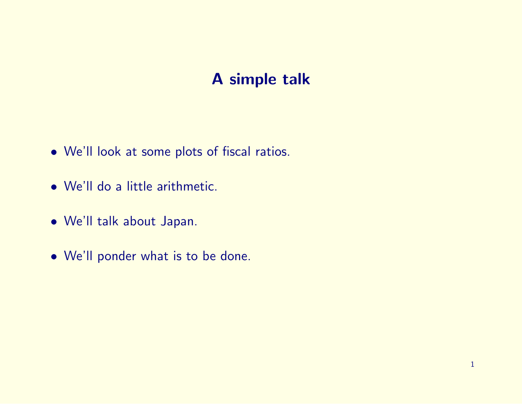### A simple talk

- We'll look at some plots of fiscal ratios.
- We'll do a little arithmetic.
- We'll talk about Japan.
- We'll ponder what is to be done.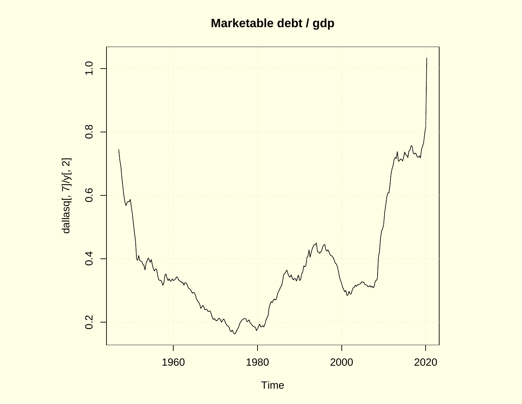### **Marketable debt / gdp**



Time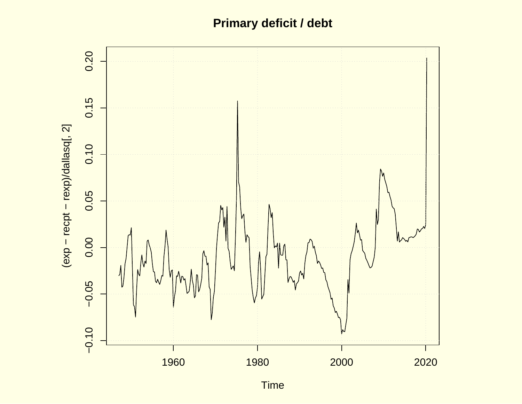### **Primary deficit / debt**



Time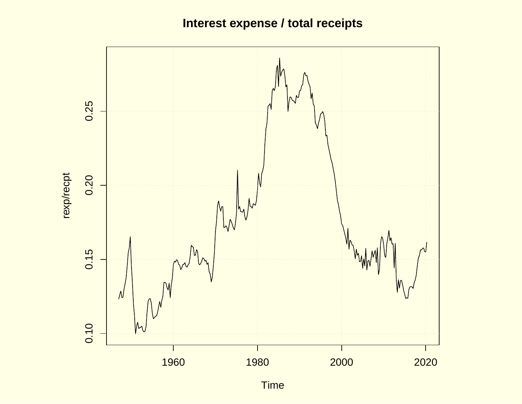### **Interest expense / total receipts**



Time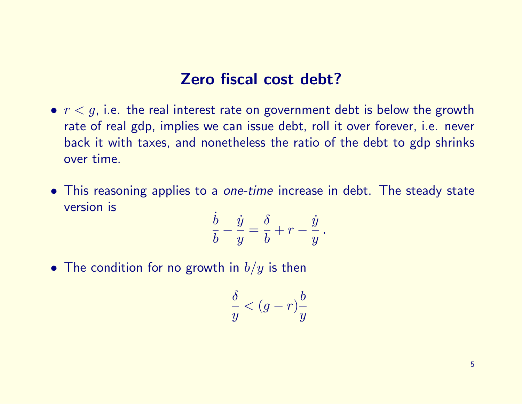### Zero fiscal cost debt?

- $r < g$ , i.e. the real interest rate on government debt is below the growth rate of real gdp, implies we can issue debt, roll it over forever, i.e. never back it with taxes, and nonetheless the ratio of the debt to gdp shrinks over time.
- This reasoning applies to a *one-time* increase in debt. The steady state version is

$$
\frac{\dot{b}}{b} - \frac{\dot{y}}{y} = \frac{\delta}{b} + r - \frac{\dot{y}}{y}.
$$

• The condition for no growth in  $b/y$  is then

$$
\frac{\delta}{y} < (g - r)\frac{b}{y}
$$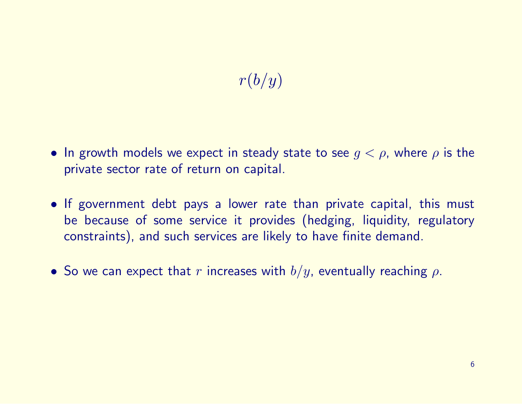### $r(b/y)$

- In growth models we expect in steady state to see  $g < \rho$ , where  $\rho$  is the private sector rate of return on capital.
- If government debt pays a lower rate than private capital, this must be because of some service it provides (hedging, liquidity, regulatory constraints), and such services are likely to have finite demand.
- So we can expect that r increases with  $b/y$ , eventually reaching  $\rho$ .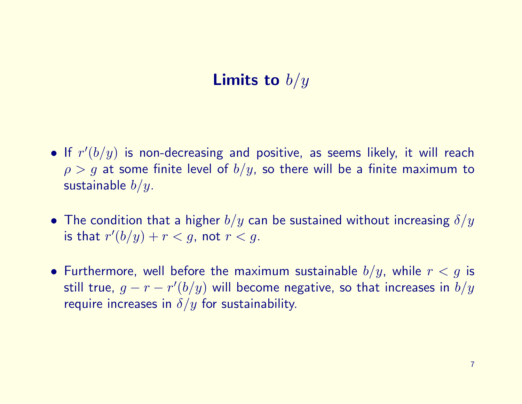### **Limits to**  $b/y$

- If  $r'(b/y)$  is non-decreasing and positive, as seems likely, it will reach  $\rho > g$  at some finite level of  $b/y$ , so there will be a finite maximum to sustainable  $b/y$ .
- The condition that a higher  $b/y$  can be sustained without increasing  $\delta/y$ is that  $r'(b/y) + r < g$ , not  $r < g$ .
- Furthermore, well before the maximum sustainable  $b/y$ , while  $r < g$  is still true,  $g-r-r^{\prime}(b/y)$  will become negative, so that increases in  $b/y$ require increases in  $\delta/y$  for sustainability.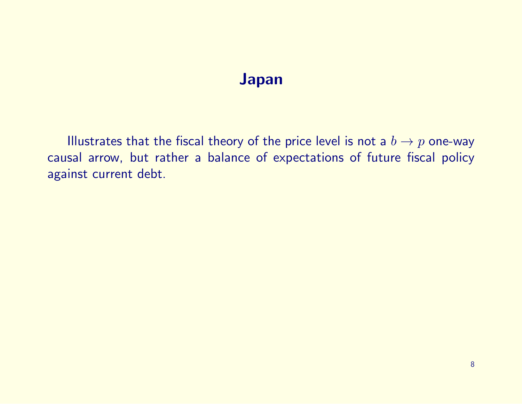### Japan

Illustrates that the fiscal theory of the price level is not a  $b \to p$  one-way causal arrow, but rather a balance of expectations of future fiscal policy against current debt.